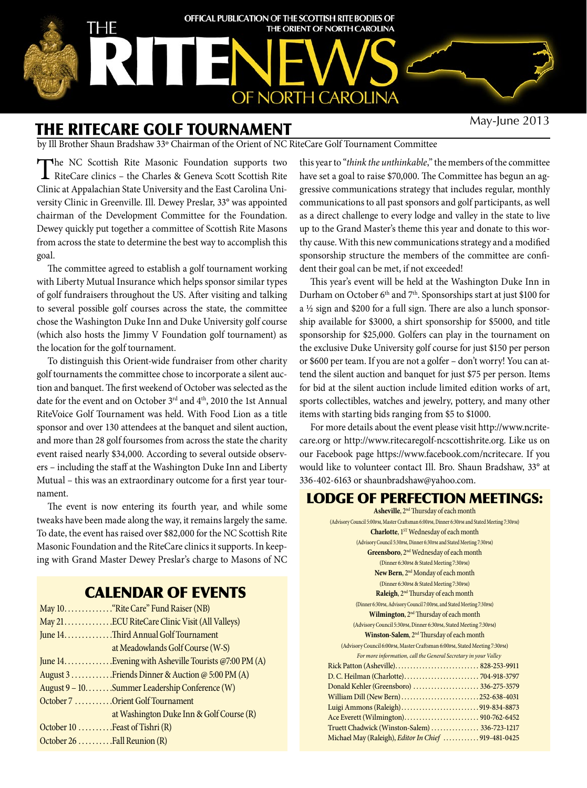

# The RitECARE Golf Tournament

May-June 2013

by Ill Brother Shaun Bradshaw 33º Chairman of the Orient of NC RiteCare Golf Tournament Committee

The NC Scottish Rite Masonic Foundation supports two RiteCare clinics – the Charles & Geneva Scott Scottish Rite Clinic at Appalachian State University and the East Carolina University Clinic in Greenville. Ill. Dewey Preslar, 33° was appointed chairman of the Development Committee for the Foundation. Dewey quickly put together a committee of Scottish Rite Masons from across the state to determine the best way to accomplish this goal.

The committee agreed to establish a golf tournament working with Liberty Mutual Insurance which helps sponsor similar types of golf fundraisers throughout the US. After visiting and talking to several possible golf courses across the state, the committee chose the Washington Duke Inn and Duke University golf course (which also hosts the Jimmy V Foundation golf tournament) as the location for the golf tournament.

To distinguish this Orient-wide fundraiser from other charity golf tournaments the committee chose to incorporate a silent auction and banquet. The first weekend of October was selected as the date for the event and on October 3rd and 4th, 2010 the 1st Annual RiteVoice Golf Tournament was held. With Food Lion as a title sponsor and over 130 attendees at the banquet and silent auction, and more than 28 golf foursomes from across the state the charity event raised nearly \$34,000. According to several outside observers – including the staff at the Washington Duke Inn and Liberty Mutual – this was an extraordinary outcome for a first year tournament.

The event is now entering its fourth year, and while some tweaks have been made along the way, it remains largely the same. To date, the event has raised over \$82,000 for the NC Scottish Rite Masonic Foundation and the RiteCare clinics it supports. In keeping with Grand Master Dewey Preslar's charge to Masons of NC

# Calendar of EVENTS

|                                       | May 10. "Rite Care" Fund Raiser (NB)                  |  |
|---------------------------------------|-------------------------------------------------------|--|
|                                       | May 21. ECU RiteCare Clinic Visit (All Valleys)       |  |
| June 14. Third Annual Golf Tournament |                                                       |  |
|                                       | at Meadowlands Golf Course (W-S)                      |  |
|                                       | June 14. Evening with Asheville Tourists @7:00 PM (A) |  |
|                                       | August 3  Friends Dinner & Auction @ 5:00 PM (A)      |  |
|                                       | August 9 - 10. Summer Leadership Conference (W)       |  |
|                                       | October 7 Orient Golf Tournament                      |  |
|                                       | at Washington Duke Inn & Golf Course (R)              |  |
| October $10$ Feast of Tishri $(R)$    |                                                       |  |
| October 26 Fall Reunion (R)           |                                                       |  |

this year to "*think the unthinkable*," the members of the committee have set a goal to raise \$70,000. The Committee has begun an aggressive communications strategy that includes regular, monthly communications to all past sponsors and golf participants, as well as a direct challenge to every lodge and valley in the state to live up to the Grand Master's theme this year and donate to this worthy cause. With this new communications strategy and a modified sponsorship structure the members of the committee are confident their goal can be met, if not exceeded!

This year's event will be held at the Washington Duke Inn in Durham on October 6<sup>th</sup> and 7<sup>th</sup>. Sponsorships start at just \$100 for a ½ sign and \$200 for a full sign. There are also a lunch sponsorship available for \$3000, a shirt sponsorship for \$5000, and title sponsorship for \$25,000. Golfers can play in the tournament on the exclusive Duke University golf course for just \$150 per person or \$600 per team. If you are not a golfer – don't worry! You can attend the silent auction and banquet for just \$75 per person. Items for bid at the silent auction include limited edition works of art, sports collectibles, watches and jewelry, pottery, and many other items with starting bids ranging from \$5 to \$1000.

For more details about the event please visit http://www.ncritecare.org or http://www.ritecaregolf-ncscottishrite.org. Like us on our Facebook page https://www.facebook.com/ncritecare. If you would like to volunteer contact Ill. Bro. Shaun Bradshaw, 33° at 336-402-6163 or shaunbradshaw@yahoo.com.

#### LODGE OF PERFECTION MEETINGS:

**Asheville**, 2nd Thursday of each month (Advisory Council 5:00pm, Master Craftsman 6:00pm, Dinner 6:30pm and Stated Meeting 7:30pm) **Charlotte**, 1<sup>ST</sup> Wednesday of each month (Advisory Council 5:30pm, Dinner 6:30pm and Stated Meeting 7:30pm) **Greensboro**, 2nd Wednesday of each month (Dinner 6:30pm & Stated Meeting 7:30pm) New Bern, 2<sup>nd</sup> Monday of each month (Dinner 6:30pm & Stated Meeting 7:30pm) **Raleigh**, 2nd Thursday of each month (Dinner 6:30pm, Advisory Council 7:00pm, and Stated Meeting 7:30pm) **Wilmington**, 2nd Thursday of each month (Advisory Council 5:30pm, Dinner 6:30pm, Stated Meeting 7:30pm) **Winston-Salem**, 2nd Thursday of each month (Advisory Council 6:00pm, Master Craftsman 6:00pm, Stated Meeting 7:30pm) *For more information, call the General Secretary in your Valley* Rick Patton (Asheville) . . . . . . . . . . . . . . . . . . . . . . . . . . . . 828-253-9911 D. C. Heilman (Charlotte) . . . . . . . . . . . . . . . . . . . . . . . . . 704-918-3797 Donald Kehler (Greensboro) . . . . . . . . . . . . . . . . . . . . . 336-275-3579 William Dill (New Bern) . . . . . . . . . . . . . . . . . . . . . . . . . 252-638-4031 Luigi Ammons (Raleigh) . . . . . . . . . . . . . . . . . . . . . . . . . 919-834-8873 Ace Everett (Wilmington) . . . . . . . . . . . . . . . . . . . . . . . . . 910-762-6452 Truett Chadwick (Winston-Salem) . . . . . . . . . . . . . . . . 336-723-1217 Michael May (Raleigh), *Editor In Chief* . . . . . . . . . . . . 919-481-0425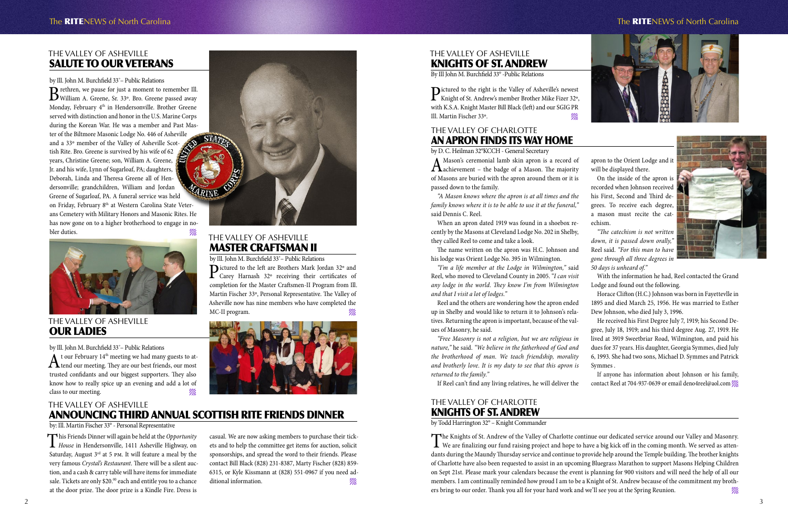# The Valley of AshEville AnnouncING Third Annual Scottish Rite Friends Dinner

by: Ill. Martin Fischer 33° - Personal Representative

casual. We are now asking members to purchase their tickets and to help the committee get items for auction, solicit sponsorships, and spread the word to their friends. Please contact Bill Black (828) 231-8387, Marty Fischer (828) 859- 6315, or Kyle Kissmann at (828) 551-0967 if you need additional information.

This Friends Dinner will again be held at the *Opportunity House* in Hendersonville, 1411 Asheville Highway, on Saturday, August  $3<sup>rd</sup>$  at 5 pm. It will feature a meal by the very famous *Crystal's Restaurant*. There will be a silent auction, and a cash & carry table will have items for immediate sale. Tickets are only \$20.<sup>00</sup> each and entitle you to a chance at the door prize. The door prize is a Kindle Fire. Dress is

Pictured to the right is the Valley of Asheville's newest<br>Knight of St. Andrew's member Brother Mike Fizer 32°,<br>N. K. C. A. K. A. L. M. C. C. C. C. C. C. C. C. C. C. C. with K.S.A. Knight Master Bill Black (left) and our SGIG PR Ill. Martin Fischer 33º.

# The Valley of AshEville Knights of St. Andrew

By Ill John M. Burchfield 33° -Public Relations

#### The Valley of AshEville SALUTE TO OUR VETERANS

#### by Ill. John M. Burchfield 33˚– Public Relations

Brethren, we pause for just a moment to remember Ill.<br>William A. Greene, Sr. 33°. Bro. Greene passed away Monday, February 4<sup>th</sup> in Hendersonville. Brother Greene served with distinction and honor in the U.S. Marine Corps during the Korean War. He was a member and Past Master of the Biltmore Masonic Lodge No. 446 of Asheville and a 33º member of the Valley of Asheville Scottish Rite. Bro. Greene is survived by his wife of 62 years, Christine Greene; son, William A. Greene, Jr. and his wife, Lynn of Sugarloaf, PA; daughters, Deborah, Linda and Theresa Greene all of Hendersonville; grandchildren, William and Jordan ARIN Greene of Sugarloaf, PA. A funeral service was held on Friday, February 8th at Western Carolina State Veterans Cemetery with Military Honors and Masonic Rites. He has now gone on to a higher brotherhood to engage in nobler duties.<br>
THE VALLEY OF ASHEVILLE



by Ill. John M. Burchfield 33° – Public Relations<br>Dictured to the left are Brothers Mark Jordan 32° and Pictured to the left are Brothers Mark Jordan 32° and<br>Carey Harnash 32° receiving their certificates of completion for the Master Craftsmen-II Program from Ill. Martin Fischer 33º, Personal Representative. The Valley of Asheville now has nine members who have completed the MC-II program.



 $A$ t our February 14<sup>th</sup> meeting we had many guests to at-<br>tend our meeting. They are our best friends, our most trusted confidants and our biggest supporters. They also know how to really spice up an evening and add a lot of class to our meeting.

A Mason's ceremonial lamb skin apron is a record of a Machievement – the badge of a Mason. The majority of Masons are buried with the apron around them or it is passed down to the family.

# Master Craftsman II

#### The Valley of AshEville Our Ladies

by Ill. John M. Burchfield 33˚– Public Relations



#### The Valley of Charlotte Knights of St. Andrew

by Todd Harrington 32° – Knight Commander

The Knights of St. Andrew of the Valley of Charlotte continue our dedicated service around our Valley and Masonry.<br>We are finalizing our fund raising project and hope to have a big kick off in the coming month. We served a dants during the Maundy Thursday service and continue to provide help around the Temple building. The brother knights of Charlotte have also been requested to assist in an upcoming Bluegrass Marathon to support Masons Helping Children on Sept 21st. Please mark your calendars because the event is planning for 900 visitors and will need the help of all our members. I am continually reminded how proud I am to be a Knight of St. Andrew because of the commitment my brothers bring to our order. Thank you all for your hard work and we'll see you at the Spring Reunion.

Symmes . If anyone has information about Johnson or his family, contact Reel at 704-937-0639 or email deno4reel@aol.com



by D. C. Heilman 32°KCCH - General Secretary

*"A Mason knows where the apron is at all times and the family knows where it is to be able to use it at the funeral,"* said Dennis C. Reel.

When an apron dated 1919 was found in a shoebox recently by the Masons at Cleveland Lodge No. 202 in Shelby, they called Reel to come and take a look.

The name written on the apron was H.C. Johnson and his lodge was Orient Lodge No. 395 in Wilmington.

*"I'm a life member at the Lodge in Wilmington,"* said Reel, who moved to Cleveland County in 2005. "*I can visit any lodge in the world. They know I'm from Wilmington and that I visit a lot of lodges."*

Reel and the others are wondering how the apron ended up in Shelby and would like to return it to Johnson's relatives. Returning the apron is important, because of the values of Masonry, he said.

*"Free Masonry is not a religion, but we are religious in nature,"* he said. *"We believe in the fatherhood of God and the brotherhood of man. We teach friendship, morality and brotherly love. It is my duty to see that this apron is returned to the family."*

If Reel can't find any living relatives, he will deliver the

apron to the Orient Lodge and it will be displayed there.

On the inside of the apron is recorded when Johnson received his First, Second and Third degrees. To receive each degree, a mason must recite the cat-

echism.

*"The catechism is not written down, it is passed down orally,"* Reel said. *"For this man to have gone through all three degrees in 50 days is unheard of."*



With the information he had, Reel contacted the Grand Lodge and found out the following.

Horace Clifton (H.C.) Johnson was born in Fayettevlle in 1895 and died March 25, 1956. He was married to Esther Dew Johnson, who died July 3, 1996.

He received his First Degree July 7, 1919; his Second Degree, July 18, 1919; and his third degree Aug. 27, 1919. He lived at 3919 Sweetbriar Road, Wilmington, and paid his dues for 37 years. His daughter, Georgia Symmes, died July 6, 1993. She had two sons, Michael D. Symmes and Patrick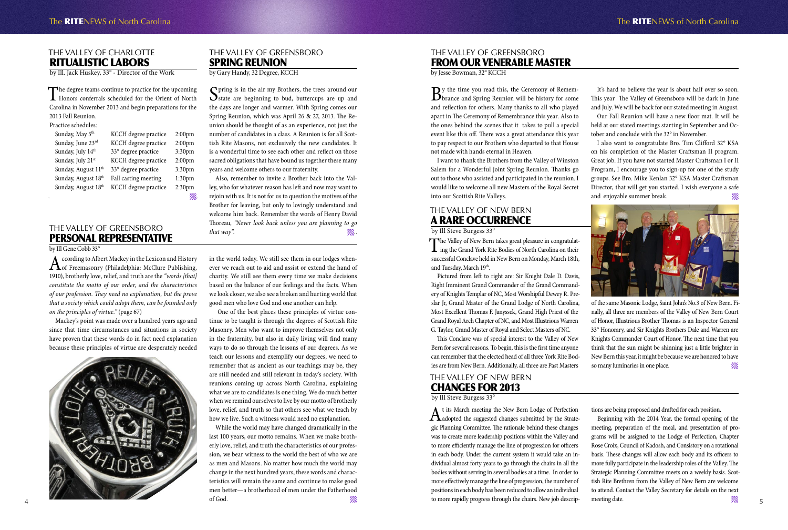# The Valley of NEW BERN A Rare Occurrence

by Ill Steve Burgess 33<sup>°</sup>

The Valley of New Bern takes great pleasure in congratulat-<br>ing the Grand York Rite Bodies of North Carolina on their<br>field of the contract of the contract of the contract of the contract of the contract of the contract of successful Conclave held in New Bern on Monday, March 18th, and Tuesday, March 19th.



of the same Masonic Lodge, Saint John's No.3 of New Bern. Finally, all three are members of the Valley of New Bern Court of Honor, Illustrious Brother Thomas is an Inspector General 33° Honorary, and Sir Knights Brothers Dale and Warren are Knights Commander Court of Honor. The next time that you think that the sun might be shinning just a little brighter in New Bern this year, it might be because we are honored to have so many luminaries in one place.

Pictured from left to right are: Sir Knight Dale D. Davis, Right Imminent Grand Commander of the Grand Commandery of Knights Templar of NC, Most Worshipful Dewey R. Preslar Jr, Grand Master of the Grand Lodge of North Carolina, Most Excellent Thomas F. Janyssek, Grand High Priest of the Grand Royal Arch Chapter of NC, and Most Illustrious Warren G. Taylor, Grand Master of Royal and Select Masters of NC.

This Conclave was of special interest to the Valley of New Bern for several reasons. To begin, this is the first time anyone can remember that the elected head of all three York Rite Bodies are from New Bern. Additionally, all three are Past Masters

At its March meeting the New Bern Lodge of Perfection<br>Adopted the suggested changes submitted by the Strategic Planning Committee. The rationale behind these changes was to create more leadership positions within the Valley and to more efficiently manage the line of progression for officers in each body. Under the current system it would take an individual almost forty years to go through the chairs in all the bodies without serving in several bodies at a time. In order to more effectively manage the line of progression, the number of positions in each body has been reduced to allow an individual to more rapidly progress through the chairs. New job descrip-

Beginning with the 2014 Year, the formal opening of the meeting, preparation of the meal, and presentation of programs will be assigned to the Lodge of Perfection, Chapter Rose Croix, Council of Kadosh, and Consistory on a rotational basis. These changes will allow each body and its officers to more fully participate in the leadership roles of the Valley. The Strategic Planning Committee meets on a weekly basis. Scottish Rite Brethren from the Valley of New Bern are welcome to attend. Contact the Valley Secretary for details on the next meeting date. The same of the same of the same of the same of the same of the same of the same of the same of the same of the same of the same of the same of the same of the same of the same of the same of the same of the

## The Valley of NEW BERN Changes for 2013

by Ill Steve Burgess 33<sup>0</sup>

 $B$ y the time you read this, the Ceremony of Remem-<br>brance and Spring Reunion will be history for some and reflection for others. Many thanks to all who played apart in The Ceremony of Remembrance this year. Also to the ones behind the scenes that it takes to pull a special event like this off. There was a great attendance this year to pay respect to our Brothers who departed to that House not made with hands eternal in Heaven.

I also want to congratulate Bro. Tim Clifford 32° KSA on his completion of the Master Craftsman II program. Great job. If you have not started Master Craftsman I or II Program, I encourage you to sign-up for one of the study groups. See Bro. Mike Kenlan 32° KSA Master Craftsman Director, that will get you started. I wish everyone a safe and enjoyable summer break.  $\mathscr{C\!\!M}$ 

tions are being proposed and drafted for each position.

According to Albert Mackey in the Lexicon and History<br>
of Freemasonry (Philadelphia: McClure Publishing, 1910), brotherly love, relief, and truth are the *"words [that] constitute the motto of our order, and the characteristics of our profession. They need no explanation, but the prove that a society which could adopt them, can be founded only on the principles of virtue."* (page 67)



#### The Valley of Greensboro From our Venerable Master

by Jesse Bowman, 32° KCCH

While the world may have changed dramatically in the last 100 years, our motto remains. When we make brotherly love, relief, and truth the characteristics of our profession, we bear witness to the world the best of who we are as men and Masons. No matter how much the world may change in the next hundred years, these words and characteristics will remain the same and continue to make good men better—a brotherhood of men under the Fatherhood of God.  $\mathscr{W}_{\mathscr{U}}$ 

#### The Valley of Greensboro **SPRING REUNION**

I want to thank the Brothers from the Valley of Winston Salem for a Wonderful joint Spring Reunion. Thanks go out to those who assisted and participated in the reunion. I would like to welcome all new Masters of the Royal Secret into our Scottish Rite Valleys.

 $\bigcap$  pring is in the air my Brothers, the trees around our  $\mathbf{\mathcal{S}}$  state are beginning to bud, buttercups are up and the days are longer and warmer. With Spring comes our Spring Reunion, which was April 26 & 27, 2013. The Reunion should be thought of as an experience, not just the number of candidates in a class. A Reunion is for all Scottish Rite Masons, not exclusively the new candidates. It is a wonderful time to see each other and reflect on those sacred obligations that have bound us together these many years and welcome others to our fraternity.

It's hard to believe the year is about half over so soon. This year The Valley of Greensboro will be dark in June and July. We will be back for our stated meeting in August. Our Fall Reunion will have a new floor mat. It will be held at our stated meetings starting in September and October and conclude with the 32° in November.

The degree teams continue to practice for the upcoming Honors conferrals scheduled for the Orient of North Carolina in November 2013 and begin preparations for the 2013 Fall Reunion.

#### The Valley of Greensboro Personal Representative

by Ill Gene Cobb 33°

Mackey's point was made over a hundred years ago and since that time circumstances and situations in society have proven that these words do in fact need explanation because these principles of virtue are desperately needed in the world today. We still see them in our lodges whenever we reach out to aid and assist or extend the hand of charity. We still see them every time we make decisions based on the balance of our feelings and the facts. When we look closer, we also see a broken and hurting world that good men who love God and one another can help.

 One of the best places these principles of virtue continue to be taught is through the degrees of Scottish Rite Masonry. Men who want to improve themselves not only in the fraternity, but also in daily living will find many ways to do so through the lessons of our degrees. As we teach our lessons and exemplify our degrees, we need to remember that as ancient as our teachings may be, they are still needed and still relevant in today's society. With reunions coming up across North Carolina, explaining what we are to candidates is one thing. We do much better when we remind ourselves to live by our motto of brotherly love, relief, and truth so that others see what we teach by how we live. Such a witness would need no explanation.

by Gary Handy, 32 Degree, KCCH

Also, remember to invite a Brother back into the Valley, who for whatever reason has left and now may want to rejoin with us. It is not for us to question the motives of the Brother for leaving, but only to lovingly understand and welcome him back. Remember the words of Henry David Thoreau, *"Never look back unless you are planning to go that way". .*.

#### The Valley of Charlotte Ritualistic Labors

by Ill. Jack Huskey, 33° - Director of the Work

Practice schedules:

| Sunday, May 5 <sup>th</sup>     | KCCH degree practice | 2:00 <sub>pm</sub> |
|---------------------------------|----------------------|--------------------|
| Sunday, June 23rd               | KCCH degree practice | 2:00 <sub>pm</sub> |
| Sunday, July 14th               | 33° degree practice  | 3:30pm             |
| Sunday, July 21st               | KCCH degree practice | 2:00 <sub>pm</sub> |
| Sunday, August 11 <sup>th</sup> | 33° degree practice  | 3:30pm             |
| Sunday, August 18th             | Fall casting meeting | 1:30 <sub>pm</sub> |
| Sunday, August 18th             | KCCH degree practice | 2:30pm             |
|                                 |                      |                    |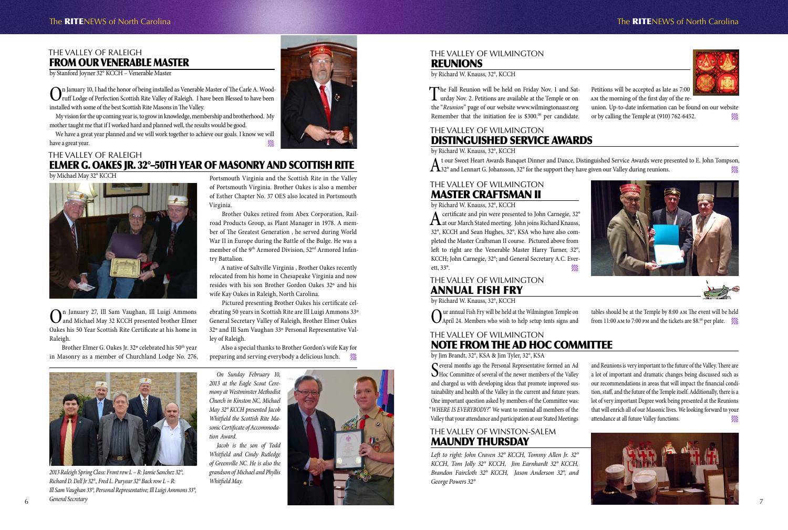## The Valley of Raleigh From our Venerable Master

by Stanford Joyner 32° KCCH – Venerable Master

On January 10, I had the honor of being installed as Venerable Master of The Carle A. Wood-<br>ruff Lodge of Perfection Scottish Rite Valley of Raleigh. I have been Blessed to have been<br>in the contribution of the Hall and the installed with some of the best Scottish Rite Masons in The Valley.

We have a great year planned and we will work together to achieve our goals. I know we will have a great year.

My vision for the up coming year is, to grow in knowledge, membership and brotherhood. My mother taught me that if I worked hard and planned well, the results would be good.

Brother Elmer G. Oakes Jr. 32° celebrated his 50<sup>th</sup> year in Masonry as a member of Churchland Lodge No. 276,

# The Valley of Raleigh Elmer G. Oakes Jr. 32°–50th Year OF Masonry and Scottish Rite

#### by Michael May 32° KCCH



On January 27, Ill Sam Vaughan, Ill Luigi Ammons and Michael May 32 KCCH presented brother Elmer Oakes his 50 Year Scottish Rite Certificate at his home in Raleigh.

> Also a special thanks to Brother Gordon's wife Kay for preparing and serving everybody a delicious lunch.  $\mathscr{U}_\ell$

> Portsmouth Virginia and the Scottish Rite in the Valley of Portsmouth Virginia. Brother Oakes is also a member of Esther Chapter No. 37 OES also located in Portsmouth Virginia.

> Brother Oakes retired from Abex Corporation, Railroad Products Group, as Plant Manager in 1978. A member of The Greatest Generation , he served during World War II in Europe during the Battle of the Bulge. He was a member of the 9th Armored Division, 52nd Armored Infantry Battalion.

> > tables should be at the Temple by 8:00 am The event will be held from 11:00 AM to 7:00 PM and the tickets are \$8.<sup>00</sup> per plate.  $\mathscr{W}_{\ell\ell}$

A native of Saltville Virginia , Brother Oakes recently relocated from his home in Chesapeake Virginia and now resides with his son Brother Gordon Oakes 32º and his wife Kay Oakes in Raleigh, North Carolina.

> Several months ago the Personal Representative formed an Ad Hoc Committee of several of the newer members of the Valley and charged us with developing ideas that promote improved sustainability and health of the Valley in the current and future years. One important question asked by members of the Committee was: "*WHERE IS EVERYBODY?*" We want to remind all members of the Valley that your attendance and participation at our Stated Meetings

Pictured presenting Brother Oakes his certificate celebrating 50 years in Scottish Rite are Ill Luigi Ammons 33º General Secretary Valley of Raleigh, Brother Elmer Oakes 32º and Ill Sam Vaughan 33º Personal Representative Valley of Raleigh.

#### The Valley of Wilmington **REUNIONS**



# The RITENEWS of North Carolina The RITENEWS of North Carolina



union. Up-to-date information can be found on our website or by calling the Temple at (910) 762-6452.



## The Valley of Wilmington Master Craftsman II

by Richard W. Knauss, 32°, KCCH

A certificate and pin were presented to John Carnegie, 32°<br>at our March Stated meeting. John joins Richard Knauss, 32°, KCCH and Sean Hughes, 32°, KSA who have also completed the Master Craftsman II course. Pictured above from left to right are the Venerable Master Harry Turner, 32°, KCCH; John Carnegie, 32°; and General Secretary A.C. Everett, 33°.  $\mathscr{W}_\mathscr{U}$ 



#### The Valley of Wilmington Annual Fish Fry

by Richard W. Knauss, 32°, KCCH

Our annual Fish Fry will be held at the Wilmington Temple on April 24. Members who wish to help setup tents signs and

# The Valley of Wilmington Note from the Ad Hoc Committee

by Jim Brandt, 32°, KSA & Jim Tyler, 32°, KSA

and Reunions is very important to the future of the Valley. There are a lot of important and dramatic changes being discussed such as our recommendations in areas that will impact the financial condition, staff, and the future of the Temple itself. Additionally, there is a lot of very important Degree work being presented at the Reunions that will enrich all of our Masonic lives. We looking forward to your attendance at all future Valley functions.

by Richard W. Knauss, 32°, KCCH

The Fall Reunion will be held on Friday Nov. 1 and Sat-<br>urday Nov. 2. Petitions are available at the Temple or on the "*Reunion*" page of our website www.wilmingtonaasr.org Remember that the initiation fee is \$300.<sup>00</sup> per candidate.

Petitions will be accepted as late as 7:00 am the morning of the first day of the re-

# The Valley of Wilmington Distinguished Service Awards

by Richard W. Knauss, 32°, KCCH

 $\Lambda$  t our Sweet Heart Awards Banquet Dinner and Dance, Distinguished Service Awards were presented to E. John Tompson,  $\mathscr{W}_\ell$ 

*On Sunday February 10, 2013 at the Eagle Scout Ceremony at Westminster Methodist Church in Kinston NC, Michael May 32° KCCH presented Jacob Whitfield the Scottish Rite Masonic Certificate of Accommodation Award.*

*Jacob is the son of Todd Whitfield and Cindy Rutledge of Greenville NC. He is also the grandson of Michael and Phyllis Whitfield May.*





*2013 Raleigh Spring Class: Front row L – R: Jamie Sanchez 32°, Richard D. Dell Jr 32°., Fred L. Puryear 32° Back row L – R: Ill Sam Vaughan 33°, Personal Representative; Ill Luigi Ammons 33°, General Secretary*

# The Valley of Winston-Salem Maundy Thursday

*Left to right: John Craven 32° KCCH, Tommy Allen Jr. 32° KCCH, Tom Jolly 32° KCCH, Jim Earnhardt 32° KCCH, Brandon Faircloth 32° KCCH, Jason Anderson 32°, and George Powers 32°*